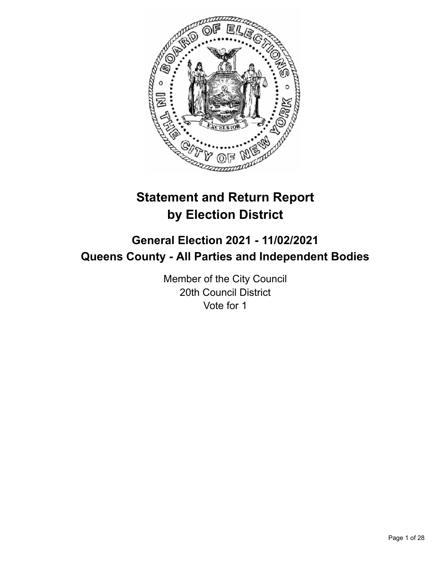

# **Statement and Return Report by Election District**

## **General Election 2021 - 11/02/2021 Queens County - All Parties and Independent Bodies**

Member of the City Council 20th Council District Vote for 1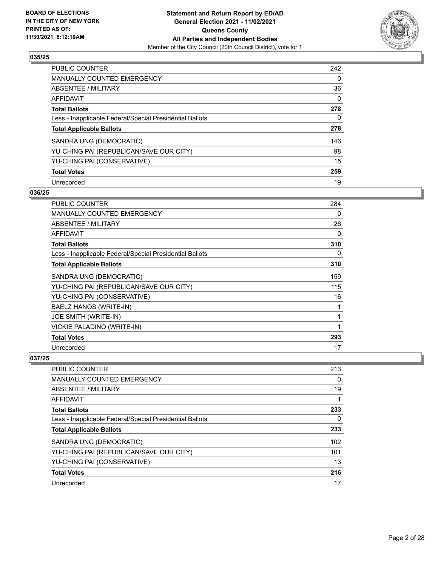

| <b>PUBLIC COUNTER</b>                                    | 242      |
|----------------------------------------------------------|----------|
| MANUALLY COUNTED EMERGENCY                               | 0        |
| ABSENTEE / MILITARY                                      | 36       |
| AFFIDAVIT                                                | $\Omega$ |
| <b>Total Ballots</b>                                     | 278      |
| Less - Inapplicable Federal/Special Presidential Ballots | 0        |
| <b>Total Applicable Ballots</b>                          | 278      |
| SANDRA UNG (DEMOCRATIC)                                  | 146      |
| YU-CHING PAI (REPUBLICAN/SAVE OUR CITY)                  | 98       |
| YU-CHING PAI (CONSERVATIVE)                              | 15       |
| <b>Total Votes</b>                                       | 259      |
| Unrecorded                                               | 19       |

#### **036/25**

| <b>PUBLIC COUNTER</b>                                    | 284 |
|----------------------------------------------------------|-----|
| <b>MANUALLY COUNTED EMERGENCY</b>                        | 0   |
| ABSENTEE / MILITARY                                      | 26  |
| AFFIDAVIT                                                | 0   |
| <b>Total Ballots</b>                                     | 310 |
| Less - Inapplicable Federal/Special Presidential Ballots | 0   |
| <b>Total Applicable Ballots</b>                          | 310 |
| SANDRA UNG (DEMOCRATIC)                                  | 159 |
| YU-CHING PAI (REPUBLICAN/SAVE OUR CITY)                  | 115 |
| YU-CHING PAI (CONSERVATIVE)                              | 16  |
| BAELZ HANOS (WRITE-IN)                                   | 1   |
| JOE SMITH (WRITE-IN)                                     | 1   |
| VICKIE PALADINO (WRITE-IN)                               |     |
| <b>Total Votes</b>                                       | 293 |
| Unrecorded                                               | 17  |

| PUBLIC COUNTER                                           | 213 |
|----------------------------------------------------------|-----|
| <b>MANUALLY COUNTED EMERGENCY</b>                        | 0   |
| ABSENTEE / MILITARY                                      | 19  |
| AFFIDAVIT                                                |     |
| <b>Total Ballots</b>                                     | 233 |
| Less - Inapplicable Federal/Special Presidential Ballots | 0   |
| <b>Total Applicable Ballots</b>                          | 233 |
| SANDRA UNG (DEMOCRATIC)                                  | 102 |
| YU-CHING PAI (REPUBLICAN/SAVE OUR CITY)                  | 101 |
| YU-CHING PAI (CONSERVATIVE)                              | 13  |
| <b>Total Votes</b>                                       | 216 |
| Unrecorded                                               | 17  |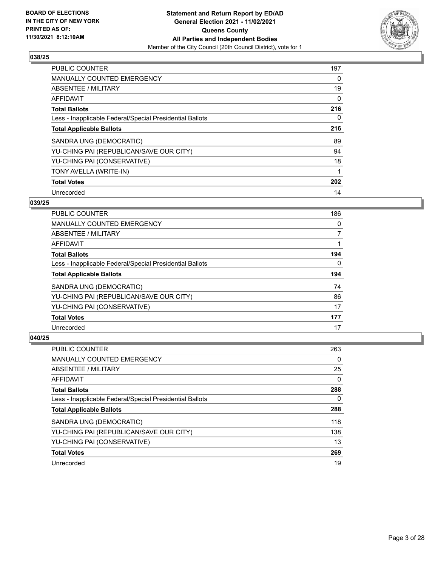

| <b>PUBLIC COUNTER</b>                                    | 197 |
|----------------------------------------------------------|-----|
| <b>MANUALLY COUNTED EMERGENCY</b>                        | 0   |
| ABSENTEE / MILITARY                                      | 19  |
| AFFIDAVIT                                                | 0   |
| <b>Total Ballots</b>                                     | 216 |
| Less - Inapplicable Federal/Special Presidential Ballots | 0   |
| <b>Total Applicable Ballots</b>                          | 216 |
| SANDRA UNG (DEMOCRATIC)                                  | 89  |
| YU-CHING PAI (REPUBLICAN/SAVE OUR CITY)                  | 94  |
| YU-CHING PAI (CONSERVATIVE)                              | 18  |
| TONY AVELLA (WRITE-IN)                                   |     |
| <b>Total Votes</b>                                       | 202 |
| Unrecorded                                               | 14  |

## **039/25**

| <b>PUBLIC COUNTER</b>                                    | 186 |
|----------------------------------------------------------|-----|
| <b>MANUALLY COUNTED EMERGENCY</b>                        | 0   |
| ABSENTEE / MILITARY                                      | 7   |
| AFFIDAVIT                                                |     |
| <b>Total Ballots</b>                                     | 194 |
| Less - Inapplicable Federal/Special Presidential Ballots | 0   |
| <b>Total Applicable Ballots</b>                          | 194 |
| SANDRA UNG (DEMOCRATIC)                                  | 74  |
| YU-CHING PAI (REPUBLICAN/SAVE OUR CITY)                  | 86  |
| YU-CHING PAI (CONSERVATIVE)                              | 17  |
| <b>Total Votes</b>                                       | 177 |
| Unrecorded                                               | 17  |

| <b>PUBLIC COUNTER</b>                                    | 263 |
|----------------------------------------------------------|-----|
| <b>MANUALLY COUNTED EMERGENCY</b>                        | 0   |
| ABSENTEE / MILITARY                                      | 25  |
| AFFIDAVIT                                                | 0   |
| <b>Total Ballots</b>                                     | 288 |
| Less - Inapplicable Federal/Special Presidential Ballots | 0   |
| <b>Total Applicable Ballots</b>                          | 288 |
| SANDRA UNG (DEMOCRATIC)                                  | 118 |
| YU-CHING PAI (REPUBLICAN/SAVE OUR CITY)                  | 138 |
| YU-CHING PAI (CONSERVATIVE)                              | 13  |
| <b>Total Votes</b>                                       | 269 |
| Unrecorded                                               | 19  |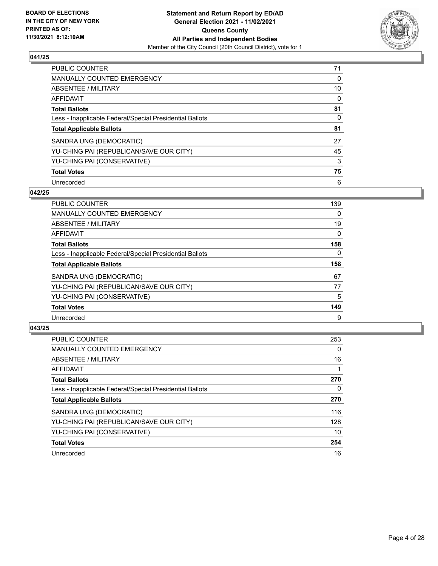

| <b>PUBLIC COUNTER</b>                                    | 71       |
|----------------------------------------------------------|----------|
| <b>MANUALLY COUNTED EMERGENCY</b>                        | $\Omega$ |
| ABSENTEE / MILITARY                                      | 10       |
| AFFIDAVIT                                                | 0        |
| <b>Total Ballots</b>                                     | 81       |
| Less - Inapplicable Federal/Special Presidential Ballots | 0        |
| <b>Total Applicable Ballots</b>                          | 81       |
| SANDRA UNG (DEMOCRATIC)                                  | 27       |
| YU-CHING PAI (REPUBLICAN/SAVE OUR CITY)                  | 45       |
| YU-CHING PAI (CONSERVATIVE)                              | 3        |
| <b>Total Votes</b>                                       | 75       |
| Unrecorded                                               | 6        |

#### **042/25**

| <b>PUBLIC COUNTER</b>                                    | 139      |
|----------------------------------------------------------|----------|
| <b>MANUALLY COUNTED EMERGENCY</b>                        | 0        |
| ABSENTEE / MILITARY                                      | 19       |
| <b>AFFIDAVIT</b>                                         | $\Omega$ |
| <b>Total Ballots</b>                                     | 158      |
| Less - Inapplicable Federal/Special Presidential Ballots | $\Omega$ |
| <b>Total Applicable Ballots</b>                          | 158      |
| SANDRA UNG (DEMOCRATIC)                                  | 67       |
| YU-CHING PAI (REPUBLICAN/SAVE OUR CITY)                  | 77       |
| YU-CHING PAI (CONSERVATIVE)                              | 5        |
| <b>Total Votes</b>                                       | 149      |
| Unrecorded                                               | 9        |

| <b>PUBLIC COUNTER</b>                                    | 253      |
|----------------------------------------------------------|----------|
| <b>MANUALLY COUNTED EMERGENCY</b>                        | 0        |
| ABSENTEE / MILITARY                                      | 16       |
| AFFIDAVIT                                                |          |
| <b>Total Ballots</b>                                     | 270      |
| Less - Inapplicable Federal/Special Presidential Ballots | $\Omega$ |
| <b>Total Applicable Ballots</b>                          | 270      |
| SANDRA UNG (DEMOCRATIC)                                  | 116      |
| YU-CHING PAI (REPUBLICAN/SAVE OUR CITY)                  | 128      |
| YU-CHING PAI (CONSERVATIVE)                              | 10       |
| <b>Total Votes</b>                                       | 254      |
| Unrecorded                                               | 16       |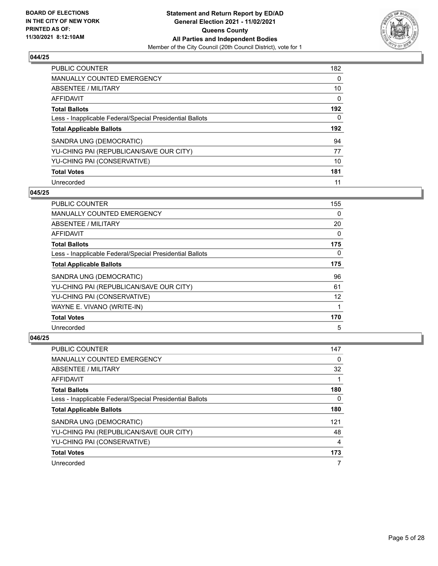

| <b>PUBLIC COUNTER</b>                                    | 182      |
|----------------------------------------------------------|----------|
| <b>MANUALLY COUNTED EMERGENCY</b>                        | $\Omega$ |
| ABSENTEE / MILITARY                                      | 10       |
| AFFIDAVIT                                                | $\Omega$ |
| <b>Total Ballots</b>                                     | 192      |
| Less - Inapplicable Federal/Special Presidential Ballots | 0        |
| <b>Total Applicable Ballots</b>                          | 192      |
| SANDRA UNG (DEMOCRATIC)                                  | 94       |
| YU-CHING PAI (REPUBLICAN/SAVE OUR CITY)                  | 77       |
| YU-CHING PAI (CONSERVATIVE)                              | 10       |
| <b>Total Votes</b>                                       | 181      |
| Unrecorded                                               | 11       |

#### **045/25**

| PUBLIC COUNTER                                           | 155      |
|----------------------------------------------------------|----------|
| <b>MANUALLY COUNTED EMERGENCY</b>                        | $\Omega$ |
| ABSENTEE / MILITARY                                      | 20       |
| AFFIDAVIT                                                | 0        |
| <b>Total Ballots</b>                                     | 175      |
| Less - Inapplicable Federal/Special Presidential Ballots | 0        |
| <b>Total Applicable Ballots</b>                          | 175      |
| SANDRA UNG (DEMOCRATIC)                                  | 96       |
| YU-CHING PAI (REPUBLICAN/SAVE OUR CITY)                  | 61       |
| YU-CHING PAI (CONSERVATIVE)                              | 12       |
| WAYNE E. VIVANO (WRITE-IN)                               | 1        |
| <b>Total Votes</b>                                       | 170      |
| Unrecorded                                               | 5        |

| <b>PUBLIC COUNTER</b>                                    | 147 |
|----------------------------------------------------------|-----|
| <b>MANUALLY COUNTED EMERGENCY</b>                        | 0   |
| ABSENTEE / MILITARY                                      | 32  |
| AFFIDAVIT                                                |     |
| <b>Total Ballots</b>                                     | 180 |
| Less - Inapplicable Federal/Special Presidential Ballots | 0   |
| <b>Total Applicable Ballots</b>                          | 180 |
| SANDRA UNG (DEMOCRATIC)                                  | 121 |
| YU-CHING PAI (REPUBLICAN/SAVE OUR CITY)                  | 48  |
| YU-CHING PAI (CONSERVATIVE)                              | 4   |
| <b>Total Votes</b>                                       | 173 |
| Unrecorded                                               |     |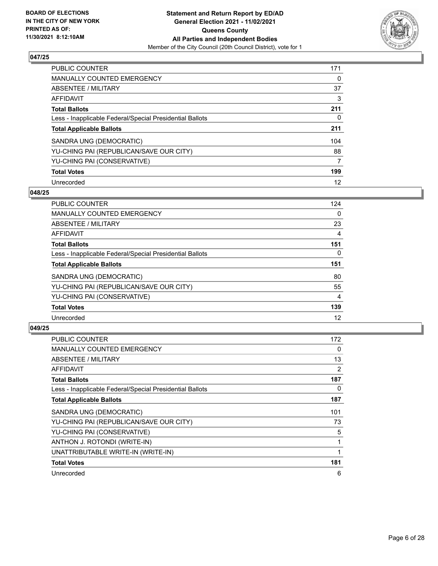

| <b>PUBLIC COUNTER</b>                                    | 171 |
|----------------------------------------------------------|-----|
| <b>MANUALLY COUNTED EMERGENCY</b>                        | 0   |
| ABSENTEE / MILITARY                                      | 37  |
| AFFIDAVIT                                                | 3   |
| <b>Total Ballots</b>                                     | 211 |
| Less - Inapplicable Federal/Special Presidential Ballots | 0   |
| <b>Total Applicable Ballots</b>                          | 211 |
| SANDRA UNG (DEMOCRATIC)                                  | 104 |
| YU-CHING PAI (REPUBLICAN/SAVE OUR CITY)                  | 88  |
| YU-CHING PAI (CONSERVATIVE)                              | 7   |
| <b>Total Votes</b>                                       | 199 |
| Unrecorded                                               | 12  |

#### **048/25**

| <b>PUBLIC COUNTER</b>                                    | 124      |
|----------------------------------------------------------|----------|
| <b>MANUALLY COUNTED EMERGENCY</b>                        | 0        |
| ABSENTEE / MILITARY                                      | 23       |
| <b>AFFIDAVIT</b>                                         | 4        |
| <b>Total Ballots</b>                                     | 151      |
| Less - Inapplicable Federal/Special Presidential Ballots | $\Omega$ |
| <b>Total Applicable Ballots</b>                          | 151      |
| SANDRA UNG (DEMOCRATIC)                                  | 80       |
| YU-CHING PAI (REPUBLICAN/SAVE OUR CITY)                  | 55       |
| YU-CHING PAI (CONSERVATIVE)                              | 4        |
| <b>Total Votes</b>                                       | 139      |
| Unrecorded                                               | 12       |

| <b>PUBLIC COUNTER</b>                                    | 172 |
|----------------------------------------------------------|-----|
| <b>MANUALLY COUNTED EMERGENCY</b>                        | 0   |
| ABSENTEE / MILITARY                                      | 13  |
| AFFIDAVIT                                                | 2   |
| <b>Total Ballots</b>                                     | 187 |
| Less - Inapplicable Federal/Special Presidential Ballots | 0   |
| <b>Total Applicable Ballots</b>                          | 187 |
| SANDRA UNG (DEMOCRATIC)                                  | 101 |
| YU-CHING PAI (REPUBLICAN/SAVE OUR CITY)                  | 73  |
| YU-CHING PAI (CONSERVATIVE)                              | 5   |
| ANTHON J. ROTONDI (WRITE-IN)                             | 1   |
| UNATTRIBUTABLE WRITE-IN (WRITE-IN)                       | 1   |
| <b>Total Votes</b>                                       | 181 |
| Unrecorded                                               | 6   |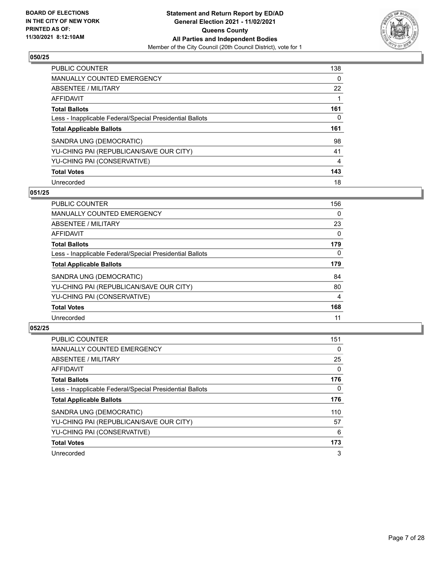

| <b>PUBLIC COUNTER</b>                                    | 138      |
|----------------------------------------------------------|----------|
| <b>MANUALLY COUNTED EMERGENCY</b>                        | $\Omega$ |
| ABSENTEE / MILITARY                                      | 22       |
| AFFIDAVIT                                                |          |
| <b>Total Ballots</b>                                     | 161      |
| Less - Inapplicable Federal/Special Presidential Ballots | 0        |
| <b>Total Applicable Ballots</b>                          | 161      |
| SANDRA UNG (DEMOCRATIC)                                  | 98       |
| YU-CHING PAI (REPUBLICAN/SAVE OUR CITY)                  | 41       |
| YU-CHING PAI (CONSERVATIVE)                              | 4        |
| <b>Total Votes</b>                                       | 143      |
| Unrecorded                                               | 18       |

#### **051/25**

| <b>PUBLIC COUNTER</b>                                    | 156      |
|----------------------------------------------------------|----------|
| <b>MANUALLY COUNTED EMERGENCY</b>                        | 0        |
| ABSENTEE / MILITARY                                      | 23       |
| AFFIDAVIT                                                | $\Omega$ |
| <b>Total Ballots</b>                                     | 179      |
| Less - Inapplicable Federal/Special Presidential Ballots | $\Omega$ |
| <b>Total Applicable Ballots</b>                          | 179      |
| SANDRA UNG (DEMOCRATIC)                                  | 84       |
| YU-CHING PAI (REPUBLICAN/SAVE OUR CITY)                  | 80       |
| YU-CHING PAI (CONSERVATIVE)                              | 4        |
| <b>Total Votes</b>                                       | 168      |
| Unrecorded                                               | 11       |

| <b>PUBLIC COUNTER</b>                                    | 151      |
|----------------------------------------------------------|----------|
| <b>MANUALLY COUNTED EMERGENCY</b>                        | $\Omega$ |
| ABSENTEE / MILITARY                                      | 25       |
| AFFIDAVIT                                                | $\Omega$ |
| <b>Total Ballots</b>                                     | 176      |
| Less - Inapplicable Federal/Special Presidential Ballots | 0        |
| <b>Total Applicable Ballots</b>                          | 176      |
| SANDRA UNG (DEMOCRATIC)                                  | 110      |
| YU-CHING PAI (REPUBLICAN/SAVE OUR CITY)                  | 57       |
| YU-CHING PAI (CONSERVATIVE)                              | 6        |
| <b>Total Votes</b>                                       | 173      |
| Unrecorded                                               | 3        |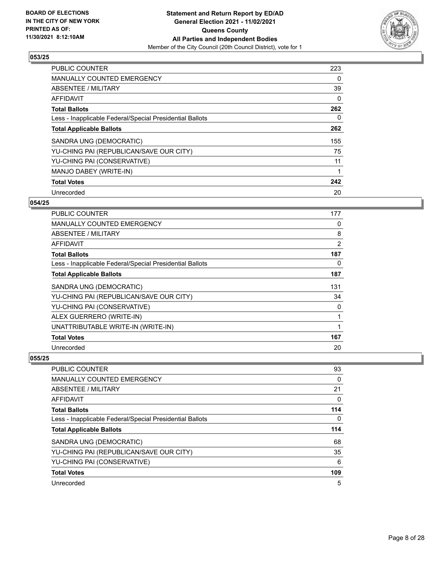

| <b>PUBLIC COUNTER</b>                                    | 223 |
|----------------------------------------------------------|-----|
| <b>MANUALLY COUNTED EMERGENCY</b>                        | 0   |
| ABSENTEE / MILITARY                                      | 39  |
| <b>AFFIDAVIT</b>                                         | 0   |
| <b>Total Ballots</b>                                     | 262 |
| Less - Inapplicable Federal/Special Presidential Ballots | 0   |
| <b>Total Applicable Ballots</b>                          | 262 |
| SANDRA UNG (DEMOCRATIC)                                  | 155 |
| YU-CHING PAI (REPUBLICAN/SAVE OUR CITY)                  | 75  |
| YU-CHING PAI (CONSERVATIVE)                              | 11  |
| MANJO DABEY (WRITE-IN)                                   |     |
| <b>Total Votes</b>                                       | 242 |
| Unrecorded                                               | 20  |

## **054/25**

| <b>PUBLIC COUNTER</b>                                    | 177 |
|----------------------------------------------------------|-----|
| <b>MANUALLY COUNTED EMERGENCY</b>                        | 0   |
| ABSENTEE / MILITARY                                      | 8   |
| AFFIDAVIT                                                | 2   |
| <b>Total Ballots</b>                                     | 187 |
| Less - Inapplicable Federal/Special Presidential Ballots | 0   |
| <b>Total Applicable Ballots</b>                          | 187 |
| SANDRA UNG (DEMOCRATIC)                                  | 131 |
| YU-CHING PAI (REPUBLICAN/SAVE OUR CITY)                  | 34  |
| YU-CHING PAI (CONSERVATIVE)                              | 0   |
| ALEX GUERRERO (WRITE-IN)                                 | 1   |
| UNATTRIBUTABLE WRITE-IN (WRITE-IN)                       | 1   |
| <b>Total Votes</b>                                       | 167 |
| Unrecorded                                               | 20  |

| <b>PUBLIC COUNTER</b>                                    | 93  |
|----------------------------------------------------------|-----|
| MANUALLY COUNTED EMERGENCY                               | 0   |
| ABSENTEE / MILITARY                                      | 21  |
| AFFIDAVIT                                                | 0   |
| <b>Total Ballots</b>                                     | 114 |
| Less - Inapplicable Federal/Special Presidential Ballots | 0   |
| <b>Total Applicable Ballots</b>                          | 114 |
| SANDRA UNG (DEMOCRATIC)                                  | 68  |
| YU-CHING PAI (REPUBLICAN/SAVE OUR CITY)                  | 35  |
| YU-CHING PAI (CONSERVATIVE)                              | 6   |
| <b>Total Votes</b>                                       | 109 |
| Unrecorded                                               | 5   |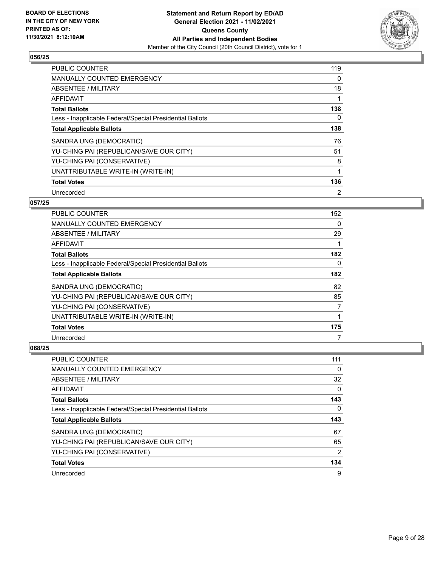

| <b>PUBLIC COUNTER</b>                                    | 119            |
|----------------------------------------------------------|----------------|
| <b>MANUALLY COUNTED EMERGENCY</b>                        | 0              |
| ABSENTEE / MILITARY                                      | 18             |
| <b>AFFIDAVIT</b>                                         |                |
| <b>Total Ballots</b>                                     | 138            |
| Less - Inapplicable Federal/Special Presidential Ballots | 0              |
| <b>Total Applicable Ballots</b>                          | 138            |
| SANDRA UNG (DEMOCRATIC)                                  | 76             |
| YU-CHING PAI (REPUBLICAN/SAVE OUR CITY)                  | 51             |
| YU-CHING PAI (CONSERVATIVE)                              | 8              |
| UNATTRIBUTABLE WRITE-IN (WRITE-IN)                       |                |
| <b>Total Votes</b>                                       | 136            |
| Unrecorded                                               | $\overline{2}$ |

## **057/25**

| <b>PUBLIC COUNTER</b>                                    | 152      |
|----------------------------------------------------------|----------|
| MANUALLY COUNTED EMERGENCY                               | 0        |
| ABSENTEE / MILITARY                                      | 29       |
| AFFIDAVIT                                                |          |
| <b>Total Ballots</b>                                     | 182      |
| Less - Inapplicable Federal/Special Presidential Ballots | $\Omega$ |
| <b>Total Applicable Ballots</b>                          | 182      |
| SANDRA UNG (DEMOCRATIC)                                  | 82       |
| YU-CHING PAI (REPUBLICAN/SAVE OUR CITY)                  | 85       |
| YU-CHING PAI (CONSERVATIVE)                              | 7        |
| UNATTRIBUTABLE WRITE-IN (WRITE-IN)                       |          |
| <b>Total Votes</b>                                       | 175      |
| Unrecorded                                               | 7        |

| <b>PUBLIC COUNTER</b>                                    | 111 |
|----------------------------------------------------------|-----|
| <b>MANUALLY COUNTED EMERGENCY</b>                        | 0   |
| ABSENTEE / MILITARY                                      | 32  |
| AFFIDAVIT                                                | 0   |
| <b>Total Ballots</b>                                     | 143 |
| Less - Inapplicable Federal/Special Presidential Ballots | 0   |
|                                                          |     |
| <b>Total Applicable Ballots</b>                          | 143 |
| SANDRA UNG (DEMOCRATIC)                                  | 67  |
| YU-CHING PAI (REPUBLICAN/SAVE OUR CITY)                  | 65  |
| YU-CHING PAI (CONSERVATIVE)                              | 2   |
| <b>Total Votes</b>                                       | 134 |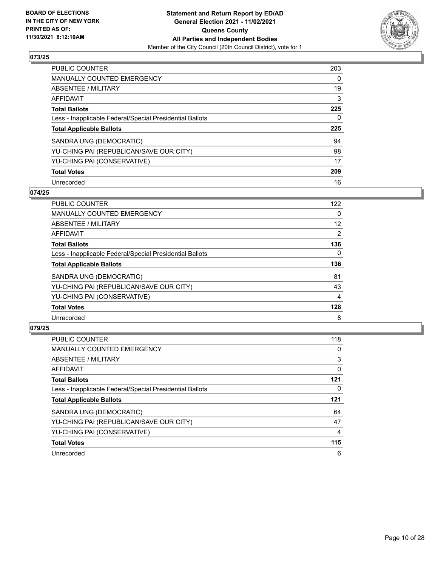

| <b>PUBLIC COUNTER</b>                                    | 203 |
|----------------------------------------------------------|-----|
| MANUALLY COUNTED EMERGENCY                               | 0   |
| ABSENTEE / MILITARY                                      | 19  |
| AFFIDAVIT                                                | 3   |
| <b>Total Ballots</b>                                     | 225 |
| Less - Inapplicable Federal/Special Presidential Ballots | 0   |
|                                                          |     |
| <b>Total Applicable Ballots</b>                          | 225 |
| SANDRA UNG (DEMOCRATIC)                                  | 94  |
| YU-CHING PAI (REPUBLICAN/SAVE OUR CITY)                  | 98  |
| YU-CHING PAI (CONSERVATIVE)                              | 17  |
| <b>Total Votes</b>                                       | 209 |

#### **074/25**

| <b>PUBLIC COUNTER</b>                                    | 122            |
|----------------------------------------------------------|----------------|
| <b>MANUALLY COUNTED EMERGENCY</b>                        | 0              |
| ABSENTEE / MILITARY                                      | 12             |
| <b>AFFIDAVIT</b>                                         | $\overline{2}$ |
| <b>Total Ballots</b>                                     | 136            |
| Less - Inapplicable Federal/Special Presidential Ballots | $\Omega$       |
| <b>Total Applicable Ballots</b>                          | 136            |
| SANDRA UNG (DEMOCRATIC)                                  | 81             |
| YU-CHING PAI (REPUBLICAN/SAVE OUR CITY)                  | 43             |
| YU-CHING PAI (CONSERVATIVE)                              | 4              |
| <b>Total Votes</b>                                       | 128            |
| Unrecorded                                               | 8              |

| <b>PUBLIC COUNTER</b>                                    | 118 |
|----------------------------------------------------------|-----|
| <b>MANUALLY COUNTED EMERGENCY</b>                        | 0   |
| ABSENTEE / MILITARY                                      | 3   |
| AFFIDAVIT                                                | 0   |
| <b>Total Ballots</b>                                     | 121 |
| Less - Inapplicable Federal/Special Presidential Ballots | 0   |
| <b>Total Applicable Ballots</b>                          | 121 |
| SANDRA UNG (DEMOCRATIC)                                  | 64  |
| YU-CHING PAI (REPUBLICAN/SAVE OUR CITY)                  | 47  |
| YU-CHING PAI (CONSERVATIVE)                              | 4   |
| <b>Total Votes</b>                                       | 115 |
| Unrecorded                                               | 6   |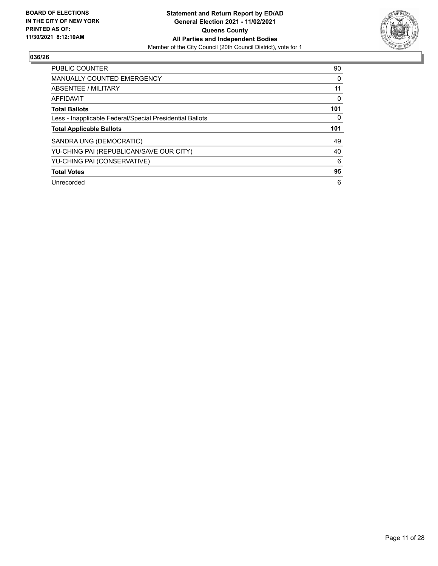

| <b>PUBLIC COUNTER</b>                                    | 90  |
|----------------------------------------------------------|-----|
| <b>MANUALLY COUNTED EMERGENCY</b>                        | 0   |
| ABSENTEE / MILITARY                                      | 11  |
| <b>AFFIDAVIT</b>                                         | 0   |
| <b>Total Ballots</b>                                     | 101 |
| Less - Inapplicable Federal/Special Presidential Ballots | 0   |
| <b>Total Applicable Ballots</b>                          | 101 |
| SANDRA UNG (DEMOCRATIC)                                  | 49  |
| YU-CHING PAI (REPUBLICAN/SAVE OUR CITY)                  | 40  |
| YU-CHING PAI (CONSERVATIVE)                              | 6   |
| <b>Total Votes</b>                                       | 95  |
| Unrecorded                                               | 6   |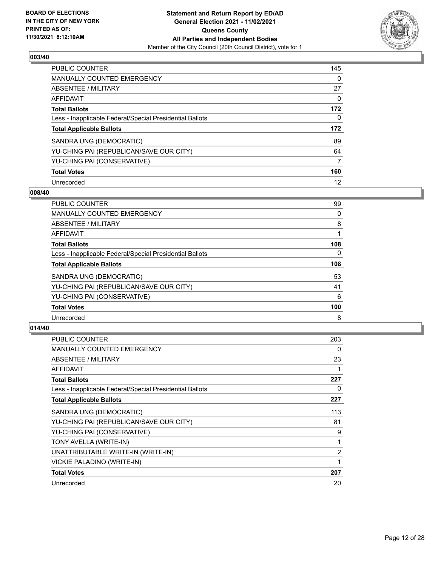

| <b>PUBLIC COUNTER</b>                                    | 145      |
|----------------------------------------------------------|----------|
| <b>MANUALLY COUNTED EMERGENCY</b>                        | $\Omega$ |
| ABSENTEE / MILITARY                                      | 27       |
| AFFIDAVIT                                                | $\Omega$ |
| <b>Total Ballots</b>                                     | 172      |
| Less - Inapplicable Federal/Special Presidential Ballots | 0        |
| <b>Total Applicable Ballots</b>                          | 172      |
| SANDRA UNG (DEMOCRATIC)                                  | 89       |
| YU-CHING PAI (REPUBLICAN/SAVE OUR CITY)                  | 64       |
| YU-CHING PAI (CONSERVATIVE)                              | 7        |
| <b>Total Votes</b>                                       | 160      |
| Unrecorded                                               | 12       |

#### **008/40**

| <b>PUBLIC COUNTER</b>                                    | 99       |
|----------------------------------------------------------|----------|
| <b>MANUALLY COUNTED EMERGENCY</b>                        | 0        |
| ABSENTEE / MILITARY                                      | 8        |
| <b>AFFIDAVIT</b>                                         |          |
| <b>Total Ballots</b>                                     | 108      |
| Less - Inapplicable Federal/Special Presidential Ballots | $\Omega$ |
| <b>Total Applicable Ballots</b>                          | 108      |
| SANDRA UNG (DEMOCRATIC)                                  | 53       |
| YU-CHING PAI (REPUBLICAN/SAVE OUR CITY)                  | 41       |
| YU-CHING PAI (CONSERVATIVE)                              | 6        |
| <b>Total Votes</b>                                       | 100      |
| Unrecorded                                               | 8        |

| <b>PUBLIC COUNTER</b>                                    | 203 |
|----------------------------------------------------------|-----|
| <b>MANUALLY COUNTED EMERGENCY</b>                        | 0   |
| ABSENTEE / MILITARY                                      | 23  |
| <b>AFFIDAVIT</b>                                         | 1   |
| <b>Total Ballots</b>                                     | 227 |
| Less - Inapplicable Federal/Special Presidential Ballots | 0   |
| <b>Total Applicable Ballots</b>                          | 227 |
| SANDRA UNG (DEMOCRATIC)                                  | 113 |
| YU-CHING PAI (REPUBLICAN/SAVE OUR CITY)                  | 81  |
| YU-CHING PAI (CONSERVATIVE)                              | 9   |
| TONY AVELLA (WRITE-IN)                                   | 1   |
| UNATTRIBUTABLE WRITE-IN (WRITE-IN)                       | 2   |
| VICKIE PALADINO (WRITE-IN)                               | 1   |
| <b>Total Votes</b>                                       | 207 |
| Unrecorded                                               | 20  |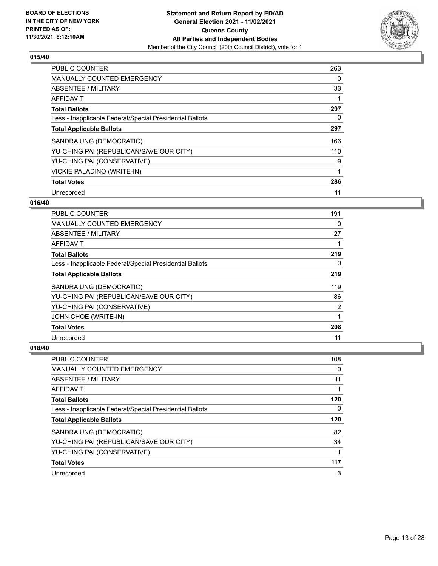

| <b>PUBLIC COUNTER</b>                                    | 263 |
|----------------------------------------------------------|-----|
| <b>MANUALLY COUNTED EMERGENCY</b>                        | 0   |
| ABSENTEE / MILITARY                                      | 33  |
| <b>AFFIDAVIT</b>                                         |     |
| <b>Total Ballots</b>                                     | 297 |
| Less - Inapplicable Federal/Special Presidential Ballots | 0   |
| <b>Total Applicable Ballots</b>                          | 297 |
| SANDRA UNG (DEMOCRATIC)                                  | 166 |
| YU-CHING PAI (REPUBLICAN/SAVE OUR CITY)                  | 110 |
| YU-CHING PAI (CONSERVATIVE)                              | 9   |
| VICKIE PALADINO (WRITE-IN)                               |     |
| <b>Total Votes</b>                                       | 286 |
| Unrecorded                                               | 11  |

## **016/40**

| <b>PUBLIC COUNTER</b>                                    | 191      |
|----------------------------------------------------------|----------|
| <b>MANUALLY COUNTED EMERGENCY</b>                        | 0        |
| ABSENTEE / MILITARY                                      | 27       |
| AFFIDAVIT                                                |          |
| <b>Total Ballots</b>                                     | 219      |
| Less - Inapplicable Federal/Special Presidential Ballots | $\Omega$ |
| <b>Total Applicable Ballots</b>                          | 219      |
| SANDRA UNG (DEMOCRATIC)                                  | 119      |
| YU-CHING PAI (REPUBLICAN/SAVE OUR CITY)                  | 86       |
| YU-CHING PAI (CONSERVATIVE)                              | 2        |
| JOHN CHOE (WRITE-IN)                                     |          |
| <b>Total Votes</b>                                       | 208      |
| Unrecorded                                               | 11       |

| PUBLIC COUNTER                                           | 108 |
|----------------------------------------------------------|-----|
| <b>MANUALLY COUNTED EMERGENCY</b>                        | 0   |
| ABSENTEE / MILITARY                                      | 11  |
| AFFIDAVIT                                                |     |
| <b>Total Ballots</b>                                     | 120 |
| Less - Inapplicable Federal/Special Presidential Ballots | 0   |
| <b>Total Applicable Ballots</b>                          | 120 |
| SANDRA UNG (DEMOCRATIC)                                  | 82  |
| YU-CHING PAI (REPUBLICAN/SAVE OUR CITY)                  | 34  |
| YU-CHING PAI (CONSERVATIVE)                              |     |
| <b>Total Votes</b>                                       | 117 |
| Unrecorded                                               | 3   |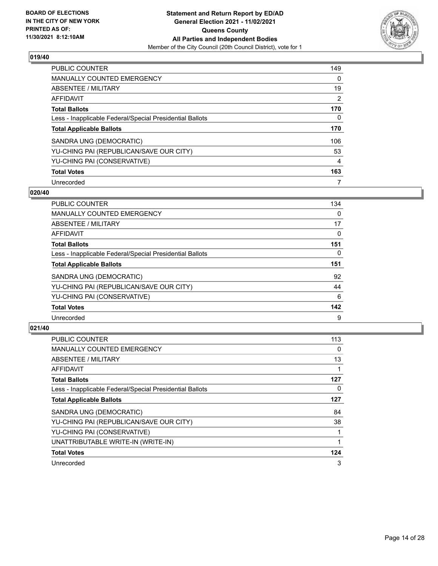

| <b>PUBLIC COUNTER</b>                                    | 149      |
|----------------------------------------------------------|----------|
| <b>MANUALLY COUNTED EMERGENCY</b>                        | $\Omega$ |
| ABSENTEE / MILITARY                                      | 19       |
| AFFIDAVIT                                                | 2        |
| <b>Total Ballots</b>                                     | 170      |
| Less - Inapplicable Federal/Special Presidential Ballots | 0        |
| <b>Total Applicable Ballots</b>                          | 170      |
| SANDRA UNG (DEMOCRATIC)                                  | 106      |
| YU-CHING PAI (REPUBLICAN/SAVE OUR CITY)                  | 53       |
| YU-CHING PAI (CONSERVATIVE)                              | 4        |
| <b>Total Votes</b>                                       | 163      |
| Unrecorded                                               |          |

#### **020/40**

| <b>PUBLIC COUNTER</b>                                    | 134      |
|----------------------------------------------------------|----------|
| MANUALLY COUNTED EMERGENCY                               | 0        |
| ABSENTEE / MILITARY                                      | 17       |
| <b>AFFIDAVIT</b>                                         | 0        |
| <b>Total Ballots</b>                                     | 151      |
| Less - Inapplicable Federal/Special Presidential Ballots | $\Omega$ |
| <b>Total Applicable Ballots</b>                          | 151      |
| SANDRA UNG (DEMOCRATIC)                                  | 92       |
| YU-CHING PAI (REPUBLICAN/SAVE OUR CITY)                  | 44       |
| YU-CHING PAI (CONSERVATIVE)                              | 6        |
| <b>Total Votes</b>                                       | 142      |
| Unrecorded                                               | 9        |

| <b>PUBLIC COUNTER</b>                                    | 113 |
|----------------------------------------------------------|-----|
| <b>MANUALLY COUNTED EMERGENCY</b>                        | 0   |
| ABSENTEE / MILITARY                                      | 13  |
| AFFIDAVIT                                                |     |
| <b>Total Ballots</b>                                     | 127 |
| Less - Inapplicable Federal/Special Presidential Ballots | 0   |
| <b>Total Applicable Ballots</b>                          | 127 |
| SANDRA UNG (DEMOCRATIC)                                  | 84  |
| YU-CHING PAI (REPUBLICAN/SAVE OUR CITY)                  | 38  |
| YU-CHING PAI (CONSERVATIVE)                              |     |
| UNATTRIBUTABLE WRITE-IN (WRITE-IN)                       |     |
| <b>Total Votes</b>                                       | 124 |
| Unrecorded                                               | 3   |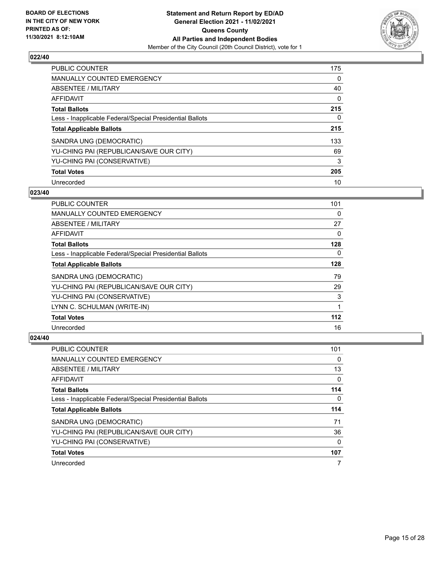

| <b>PUBLIC COUNTER</b>                                    | 175      |
|----------------------------------------------------------|----------|
| MANUALLY COUNTED EMERGENCY                               | 0        |
| ABSENTEE / MILITARY                                      | 40       |
| AFFIDAVIT                                                | $\Omega$ |
| <b>Total Ballots</b>                                     | 215      |
| Less - Inapplicable Federal/Special Presidential Ballots | 0        |
| <b>Total Applicable Ballots</b>                          | 215      |
| SANDRA UNG (DEMOCRATIC)                                  | 133      |
| YU-CHING PAI (REPUBLICAN/SAVE OUR CITY)                  | 69       |
| YU-CHING PAI (CONSERVATIVE)                              | 3        |
| <b>Total Votes</b>                                       | 205      |
| Unrecorded                                               | 10       |

#### **023/40**

| <b>PUBLIC COUNTER</b>                                    | 101 |
|----------------------------------------------------------|-----|
| MANUALLY COUNTED EMERGENCY                               | 0   |
| ABSENTEE / MILITARY                                      | 27  |
| AFFIDAVIT                                                | 0   |
| <b>Total Ballots</b>                                     | 128 |
| Less - Inapplicable Federal/Special Presidential Ballots | 0   |
| <b>Total Applicable Ballots</b>                          | 128 |
| SANDRA UNG (DEMOCRATIC)                                  | 79  |
| YU-CHING PAI (REPUBLICAN/SAVE OUR CITY)                  | 29  |
| YU-CHING PAI (CONSERVATIVE)                              | 3   |
| LYNN C. SCHULMAN (WRITE-IN)                              |     |
| <b>Total Votes</b>                                       | 112 |
| Unrecorded                                               | 16  |

| <b>PUBLIC COUNTER</b>                                    | 101 |
|----------------------------------------------------------|-----|
| <b>MANUALLY COUNTED EMERGENCY</b>                        | 0   |
| ABSENTEE / MILITARY                                      | 13  |
| AFFIDAVIT                                                | 0   |
| <b>Total Ballots</b>                                     | 114 |
| Less - Inapplicable Federal/Special Presidential Ballots | 0   |
| <b>Total Applicable Ballots</b>                          | 114 |
| SANDRA UNG (DEMOCRATIC)                                  | 71  |
|                                                          |     |
| YU-CHING PAI (REPUBLICAN/SAVE OUR CITY)                  | 36  |
| YU-CHING PAI (CONSERVATIVE)                              | 0   |
| <b>Total Votes</b>                                       | 107 |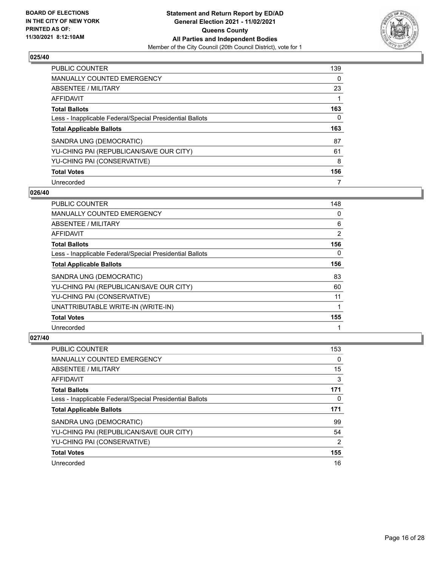

| <b>PUBLIC COUNTER</b>                                    | 139 |
|----------------------------------------------------------|-----|
| MANUALLY COUNTED EMERGENCY                               | 0   |
| ABSENTEE / MILITARY                                      | 23  |
| AFFIDAVIT                                                |     |
| <b>Total Ballots</b>                                     | 163 |
| Less - Inapplicable Federal/Special Presidential Ballots | 0   |
|                                                          |     |
| <b>Total Applicable Ballots</b>                          | 163 |
| SANDRA UNG (DEMOCRATIC)                                  | 87  |
| YU-CHING PAI (REPUBLICAN/SAVE OUR CITY)                  | 61  |
| YU-CHING PAI (CONSERVATIVE)                              | 8   |
| <b>Total Votes</b>                                       | 156 |

#### **026/40**

| PUBLIC COUNTER                                           | 148      |
|----------------------------------------------------------|----------|
| MANUALLY COUNTED EMERGENCY                               | 0        |
| ABSENTEE / MILITARY                                      | 6        |
| AFFIDAVIT                                                | 2        |
| <b>Total Ballots</b>                                     | 156      |
| Less - Inapplicable Federal/Special Presidential Ballots | $\Omega$ |
| <b>Total Applicable Ballots</b>                          | 156      |
| SANDRA UNG (DEMOCRATIC)                                  | 83       |
| YU-CHING PAI (REPUBLICAN/SAVE OUR CITY)                  | 60       |
| YU-CHING PAI (CONSERVATIVE)                              | 11       |
| UNATTRIBUTABLE WRITE-IN (WRITE-IN)                       | 1        |
| <b>Total Votes</b>                                       | 155      |
| Unrecorded                                               | 1        |

| <b>PUBLIC COUNTER</b>                                    | 153           |
|----------------------------------------------------------|---------------|
| <b>MANUALLY COUNTED EMERGENCY</b>                        | 0             |
| ABSENTEE / MILITARY                                      | 15            |
| AFFIDAVIT                                                | 3             |
| <b>Total Ballots</b>                                     | 171           |
| Less - Inapplicable Federal/Special Presidential Ballots | 0             |
|                                                          |               |
| <b>Total Applicable Ballots</b>                          | 171           |
| SANDRA UNG (DEMOCRATIC)                                  | 99            |
| YU-CHING PAI (REPUBLICAN/SAVE OUR CITY)                  | 54            |
| YU-CHING PAI (CONSERVATIVE)                              | $\mathcal{P}$ |
| <b>Total Votes</b>                                       | 155           |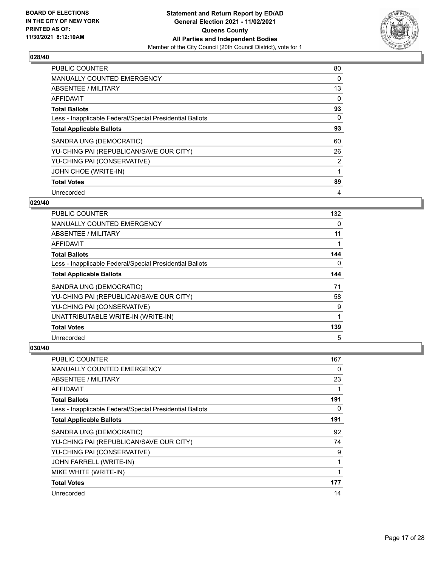

| <b>PUBLIC COUNTER</b>                                    | 80       |
|----------------------------------------------------------|----------|
| <b>MANUALLY COUNTED EMERGENCY</b>                        | 0        |
| ABSENTEE / MILITARY                                      | 13       |
| AFFIDAVIT                                                | 0        |
| <b>Total Ballots</b>                                     | 93       |
| Less - Inapplicable Federal/Special Presidential Ballots | $\Omega$ |
| <b>Total Applicable Ballots</b>                          | 93       |
| SANDRA UNG (DEMOCRATIC)                                  | 60       |
| YU-CHING PAI (REPUBLICAN/SAVE OUR CITY)                  | 26       |
| YU-CHING PAI (CONSERVATIVE)                              | 2        |
| JOHN CHOE (WRITE-IN)                                     |          |
| <b>Total Votes</b>                                       | 89       |
| Unrecorded                                               | 4        |

## **029/40**

| <b>PUBLIC COUNTER</b>                                    | 132      |
|----------------------------------------------------------|----------|
| MANUALLY COUNTED EMERGENCY                               | 0        |
| ABSENTEE / MILITARY                                      | 11       |
| AFFIDAVIT                                                |          |
| <b>Total Ballots</b>                                     | 144      |
| Less - Inapplicable Federal/Special Presidential Ballots | $\Omega$ |
| <b>Total Applicable Ballots</b>                          | 144      |
| SANDRA UNG (DEMOCRATIC)                                  | 71       |
| YU-CHING PAI (REPUBLICAN/SAVE OUR CITY)                  | 58       |
| YU-CHING PAI (CONSERVATIVE)                              | 9        |
| UNATTRIBUTABLE WRITE-IN (WRITE-IN)                       | 1        |
| <b>Total Votes</b>                                       | 139      |
| Unrecorded                                               | 5        |

| PUBLIC COUNTER                                           | 167      |
|----------------------------------------------------------|----------|
| MANUALLY COUNTED EMERGENCY                               | 0        |
| ABSENTEE / MILITARY                                      | 23       |
| AFFIDAVIT                                                |          |
| <b>Total Ballots</b>                                     | 191      |
| Less - Inapplicable Federal/Special Presidential Ballots | $\Omega$ |
| <b>Total Applicable Ballots</b>                          | 191      |
| SANDRA UNG (DEMOCRATIC)                                  | 92       |
| YU-CHING PAI (REPUBLICAN/SAVE OUR CITY)                  | 74       |
| YU-CHING PAI (CONSERVATIVE)                              | 9        |
| JOHN FARRELL (WRITE-IN)                                  | 1        |
| MIKE WHITE (WRITE-IN)                                    |          |
| <b>Total Votes</b>                                       | 177      |
| Unrecorded                                               | 14       |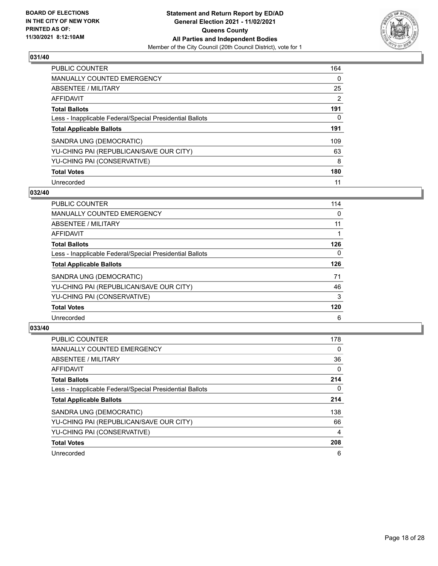

| <b>PUBLIC COUNTER</b>                                    | 164 |
|----------------------------------------------------------|-----|
| <b>MANUALLY COUNTED EMERGENCY</b>                        | 0   |
| ABSENTEE / MILITARY                                      | 25  |
| AFFIDAVIT                                                | 2   |
| <b>Total Ballots</b>                                     | 191 |
| Less - Inapplicable Federal/Special Presidential Ballots | 0   |
| <b>Total Applicable Ballots</b>                          | 191 |
| SANDRA UNG (DEMOCRATIC)                                  | 109 |
| YU-CHING PAI (REPUBLICAN/SAVE OUR CITY)                  | 63  |
| YU-CHING PAI (CONSERVATIVE)                              | 8   |
| <b>Total Votes</b>                                       | 180 |
| Unrecorded                                               | 11  |

#### **032/40**

| <b>PUBLIC COUNTER</b>                                    | 114      |
|----------------------------------------------------------|----------|
| <b>MANUALLY COUNTED EMERGENCY</b>                        | 0        |
| ABSENTEE / MILITARY                                      | 11       |
| <b>AFFIDAVIT</b>                                         |          |
| <b>Total Ballots</b>                                     | 126      |
| Less - Inapplicable Federal/Special Presidential Ballots | $\Omega$ |
| <b>Total Applicable Ballots</b>                          | 126      |
| SANDRA UNG (DEMOCRATIC)                                  | 71       |
| YU-CHING PAI (REPUBLICAN/SAVE OUR CITY)                  | 46       |
| YU-CHING PAI (CONSERVATIVE)                              | 3        |
| <b>Total Votes</b>                                       | 120      |
| Unrecorded                                               | 6        |

| <b>PUBLIC COUNTER</b>                                    | 178      |
|----------------------------------------------------------|----------|
| <b>MANUALLY COUNTED EMERGENCY</b>                        | $\Omega$ |
| ABSENTEE / MILITARY                                      | 36       |
| <b>AFFIDAVIT</b>                                         | $\Omega$ |
| <b>Total Ballots</b>                                     | 214      |
| Less - Inapplicable Federal/Special Presidential Ballots | 0        |
| <b>Total Applicable Ballots</b>                          | 214      |
| SANDRA UNG (DEMOCRATIC)                                  | 138      |
| YU-CHING PAI (REPUBLICAN/SAVE OUR CITY)                  | 66       |
| YU-CHING PAI (CONSERVATIVE)                              | 4        |
| <b>Total Votes</b>                                       | 208      |
| Unrecorded                                               | 6        |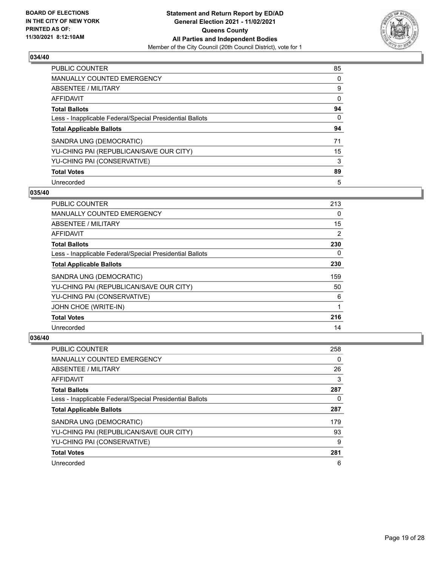

| <b>PUBLIC COUNTER</b>                                    | 85       |
|----------------------------------------------------------|----------|
| <b>MANUALLY COUNTED EMERGENCY</b>                        | 0        |
| ABSENTEE / MILITARY                                      | 9        |
| AFFIDAVIT                                                | 0        |
| <b>Total Ballots</b>                                     | 94       |
| Less - Inapplicable Federal/Special Presidential Ballots | $\Omega$ |
| <b>Total Applicable Ballots</b>                          | 94       |
| SANDRA UNG (DEMOCRATIC)                                  | 71       |
| YU-CHING PAI (REPUBLICAN/SAVE OUR CITY)                  | 15       |
| YU-CHING PAI (CONSERVATIVE)                              | 3        |
| <b>Total Votes</b>                                       | 89       |
| Unrecorded                                               | 5        |

#### **035/40**

| PUBLIC COUNTER                                           | 213      |
|----------------------------------------------------------|----------|
| <b>MANUALLY COUNTED EMERGENCY</b>                        | $\Omega$ |
| ABSENTEE / MILITARY                                      | 15       |
| AFFIDAVIT                                                | 2        |
| <b>Total Ballots</b>                                     | 230      |
| Less - Inapplicable Federal/Special Presidential Ballots | 0        |
| <b>Total Applicable Ballots</b>                          | 230      |
| SANDRA UNG (DEMOCRATIC)                                  | 159      |
| YU-CHING PAI (REPUBLICAN/SAVE OUR CITY)                  | 50       |
| YU-CHING PAI (CONSERVATIVE)                              | 6        |
| JOHN CHOE (WRITE-IN)                                     | 1        |
| <b>Total Votes</b>                                       | 216      |
| Unrecorded                                               | 14       |

| <b>PUBLIC COUNTER</b>                                    | 258 |
|----------------------------------------------------------|-----|
| <b>MANUALLY COUNTED EMERGENCY</b>                        | 0   |
| ABSENTEE / MILITARY                                      | 26  |
| AFFIDAVIT                                                | 3   |
| <b>Total Ballots</b>                                     | 287 |
| Less - Inapplicable Federal/Special Presidential Ballots | 0   |
| <b>Total Applicable Ballots</b>                          | 287 |
| SANDRA UNG (DEMOCRATIC)                                  | 179 |
| YU-CHING PAI (REPUBLICAN/SAVE OUR CITY)                  | 93  |
| YU-CHING PAI (CONSERVATIVE)                              | 9   |
| <b>Total Votes</b>                                       | 281 |
| Unrecorded                                               | 6   |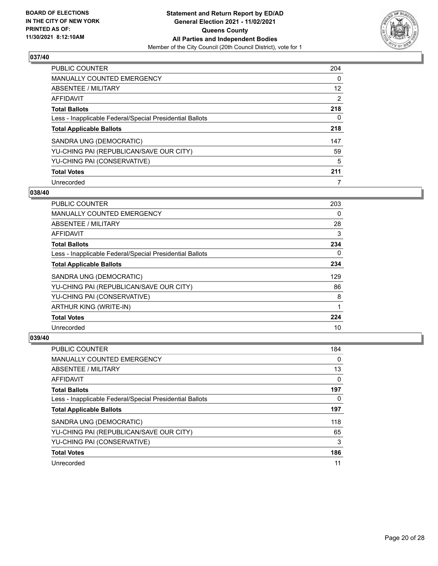

| <b>PUBLIC COUNTER</b>                                    | 204      |
|----------------------------------------------------------|----------|
| <b>MANUALLY COUNTED EMERGENCY</b>                        | $\Omega$ |
| ABSENTEE / MILITARY                                      | 12       |
| AFFIDAVIT                                                | 2        |
| <b>Total Ballots</b>                                     | 218      |
| Less - Inapplicable Federal/Special Presidential Ballots | 0        |
| <b>Total Applicable Ballots</b>                          | 218      |
| SANDRA UNG (DEMOCRATIC)                                  | 147      |
| YU-CHING PAI (REPUBLICAN/SAVE OUR CITY)                  | 59       |
| YU-CHING PAI (CONSERVATIVE)                              | 5        |
| <b>Total Votes</b>                                       | 211      |
| Unrecorded                                               |          |

#### **038/40**

| <b>PUBLIC COUNTER</b>                                    | 203 |
|----------------------------------------------------------|-----|
| <b>MANUALLY COUNTED EMERGENCY</b>                        | 0   |
| ABSENTEE / MILITARY                                      | 28  |
| AFFIDAVIT                                                | 3   |
| <b>Total Ballots</b>                                     | 234 |
| Less - Inapplicable Federal/Special Presidential Ballots | 0   |
| <b>Total Applicable Ballots</b>                          | 234 |
| SANDRA UNG (DEMOCRATIC)                                  | 129 |
| YU-CHING PAI (REPUBLICAN/SAVE OUR CITY)                  | 86  |
| YU-CHING PAI (CONSERVATIVE)                              | 8   |
| ARTHUR KING (WRITE-IN)                                   |     |
| <b>Total Votes</b>                                       | 224 |
| Unrecorded                                               | 10  |

| <b>PUBLIC COUNTER</b>                                    | 184 |
|----------------------------------------------------------|-----|
| <b>MANUALLY COUNTED EMERGENCY</b>                        | 0   |
| ABSENTEE / MILITARY                                      | 13  |
| AFFIDAVIT                                                | 0   |
| <b>Total Ballots</b>                                     | 197 |
| Less - Inapplicable Federal/Special Presidential Ballots | 0   |
|                                                          |     |
| <b>Total Applicable Ballots</b>                          | 197 |
| SANDRA UNG (DEMOCRATIC)                                  | 118 |
| YU-CHING PAI (REPUBLICAN/SAVE OUR CITY)                  | 65  |
| YU-CHING PAI (CONSERVATIVE)                              | 3   |
| <b>Total Votes</b>                                       | 186 |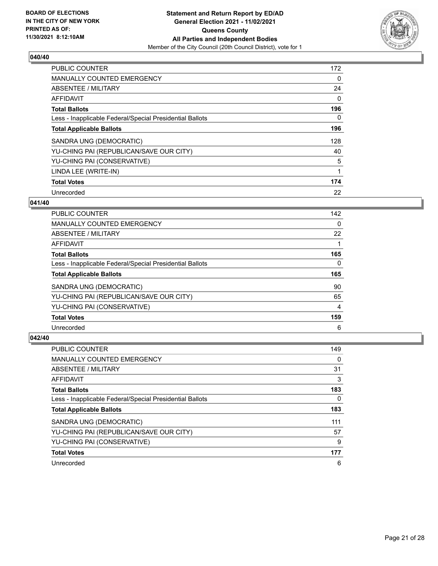

| PUBLIC COUNTER                                           | 172      |
|----------------------------------------------------------|----------|
| <b>MANUALLY COUNTED EMERGENCY</b>                        | 0        |
| ABSENTEE / MILITARY                                      | 24       |
| <b>AFFIDAVIT</b>                                         | $\Omega$ |
| <b>Total Ballots</b>                                     | 196      |
| Less - Inapplicable Federal/Special Presidential Ballots | $\Omega$ |
| <b>Total Applicable Ballots</b>                          | 196      |
| SANDRA UNG (DEMOCRATIC)                                  | 128      |
| YU-CHING PAI (REPUBLICAN/SAVE OUR CITY)                  | 40       |
| YU-CHING PAI (CONSERVATIVE)                              | 5        |
| LINDA LEE (WRITE-IN)                                     |          |
| <b>Total Votes</b>                                       | 174      |
| Unrecorded                                               | 22       |

## **041/40**

| <b>PUBLIC COUNTER</b>                                    | 142 |
|----------------------------------------------------------|-----|
| <b>MANUALLY COUNTED EMERGENCY</b>                        | 0   |
| ABSENTEE / MILITARY                                      | 22  |
| AFFIDAVIT                                                |     |
| <b>Total Ballots</b>                                     | 165 |
| Less - Inapplicable Federal/Special Presidential Ballots | 0   |
| <b>Total Applicable Ballots</b>                          | 165 |
| SANDRA UNG (DEMOCRATIC)                                  | 90  |
| YU-CHING PAI (REPUBLICAN/SAVE OUR CITY)                  | 65  |
| YU-CHING PAI (CONSERVATIVE)                              | 4   |
| <b>Total Votes</b>                                       | 159 |
| Unrecorded                                               | 6   |

| <b>PUBLIC COUNTER</b>                                    | 149 |
|----------------------------------------------------------|-----|
| <b>MANUALLY COUNTED EMERGENCY</b>                        | 0   |
| ABSENTEE / MILITARY                                      | 31  |
| AFFIDAVIT                                                | 3   |
| <b>Total Ballots</b>                                     | 183 |
| Less - Inapplicable Federal/Special Presidential Ballots | 0   |
| <b>Total Applicable Ballots</b>                          | 183 |
| SANDRA UNG (DEMOCRATIC)                                  | 111 |
|                                                          |     |
| YU-CHING PAI (REPUBLICAN/SAVE OUR CITY)                  | 57  |
| YU-CHING PAI (CONSERVATIVE)                              | 9   |
| <b>Total Votes</b>                                       | 177 |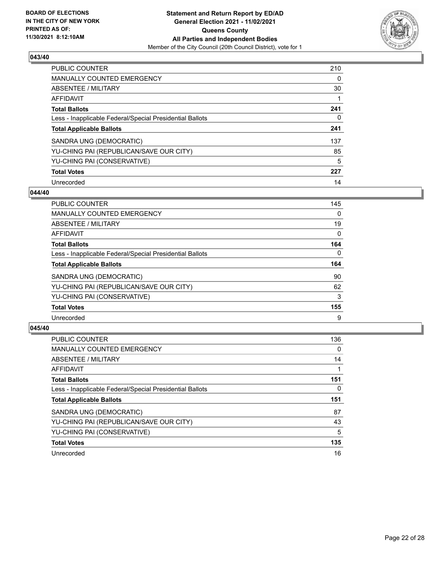

| <b>PUBLIC COUNTER</b>                                    | 210      |
|----------------------------------------------------------|----------|
| <b>MANUALLY COUNTED EMERGENCY</b>                        | $\Omega$ |
| ABSENTEE / MILITARY                                      | 30       |
| <b>AFFIDAVIT</b>                                         |          |
| <b>Total Ballots</b>                                     | 241      |
| Less - Inapplicable Federal/Special Presidential Ballots | 0        |
| <b>Total Applicable Ballots</b>                          | 241      |
| SANDRA UNG (DEMOCRATIC)                                  | 137      |
| YU-CHING PAI (REPUBLICAN/SAVE OUR CITY)                  | 85       |
| YU-CHING PAI (CONSERVATIVE)                              | 5        |
| <b>Total Votes</b>                                       | 227      |
| Unrecorded                                               | 14       |

#### **044/40**

| <b>PUBLIC COUNTER</b>                                    | 145      |
|----------------------------------------------------------|----------|
| <b>MANUALLY COUNTED EMERGENCY</b>                        | 0        |
| ABSENTEE / MILITARY                                      | 19       |
| <b>AFFIDAVIT</b>                                         | $\Omega$ |
| <b>Total Ballots</b>                                     | 164      |
| Less - Inapplicable Federal/Special Presidential Ballots | $\Omega$ |
| <b>Total Applicable Ballots</b>                          | 164      |
| SANDRA UNG (DEMOCRATIC)                                  | 90       |
| YU-CHING PAI (REPUBLICAN/SAVE OUR CITY)                  | 62       |
| YU-CHING PAI (CONSERVATIVE)                              | 3        |
| <b>Total Votes</b>                                       | 155      |
| Unrecorded                                               | 9        |

| <b>PUBLIC COUNTER</b>                                    | 136      |
|----------------------------------------------------------|----------|
| <b>MANUALLY COUNTED EMERGENCY</b>                        | $\Omega$ |
| ABSENTEE / MILITARY                                      | 14       |
| <b>AFFIDAVIT</b>                                         |          |
| <b>Total Ballots</b>                                     | 151      |
| Less - Inapplicable Federal/Special Presidential Ballots | 0        |
| <b>Total Applicable Ballots</b>                          | 151      |
| SANDRA UNG (DEMOCRATIC)                                  | 87       |
| YU-CHING PAI (REPUBLICAN/SAVE OUR CITY)                  | 43       |
| YU-CHING PAI (CONSERVATIVE)                              | 5        |
| <b>Total Votes</b>                                       | 135      |
| Unrecorded                                               | 16       |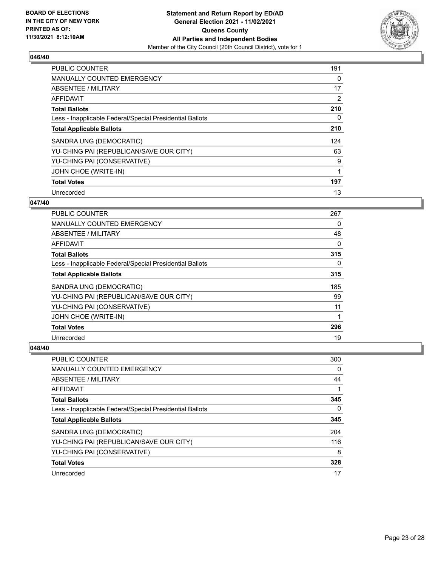

| PUBLIC COUNTER                                           | 191 |
|----------------------------------------------------------|-----|
| <b>MANUALLY COUNTED EMERGENCY</b>                        | 0   |
| ABSENTEE / MILITARY                                      | 17  |
| <b>AFFIDAVIT</b>                                         | 2   |
| <b>Total Ballots</b>                                     | 210 |
| Less - Inapplicable Federal/Special Presidential Ballots | 0   |
| <b>Total Applicable Ballots</b>                          | 210 |
| SANDRA UNG (DEMOCRATIC)                                  | 124 |
| YU-CHING PAI (REPUBLICAN/SAVE OUR CITY)                  | 63  |
| YU-CHING PAI (CONSERVATIVE)                              | 9   |
| JOHN CHOE (WRITE-IN)                                     |     |
| <b>Total Votes</b>                                       | 197 |
| Unrecorded                                               | 13  |

## **047/40**

| <b>PUBLIC COUNTER</b>                                    | 267 |
|----------------------------------------------------------|-----|
| <b>MANUALLY COUNTED EMERGENCY</b>                        | 0   |
| ABSENTEE / MILITARY                                      | 48  |
| AFFIDAVIT                                                | 0   |
| <b>Total Ballots</b>                                     | 315 |
| Less - Inapplicable Federal/Special Presidential Ballots | 0   |
| <b>Total Applicable Ballots</b>                          | 315 |
| SANDRA UNG (DEMOCRATIC)                                  | 185 |
| YU-CHING PAI (REPUBLICAN/SAVE OUR CITY)                  | 99  |
| YU-CHING PAI (CONSERVATIVE)                              | 11  |
| JOHN CHOE (WRITE-IN)                                     |     |
| <b>Total Votes</b>                                       | 296 |
| Unrecorded                                               | 19  |

| PUBLIC COUNTER                                           | 300 |
|----------------------------------------------------------|-----|
| <b>MANUALLY COUNTED EMERGENCY</b>                        | 0   |
| ABSENTEE / MILITARY                                      | 44  |
| AFFIDAVIT                                                |     |
| <b>Total Ballots</b>                                     | 345 |
| Less - Inapplicable Federal/Special Presidential Ballots | 0   |
| <b>Total Applicable Ballots</b>                          | 345 |
| SANDRA UNG (DEMOCRATIC)                                  | 204 |
| YU-CHING PAI (REPUBLICAN/SAVE OUR CITY)                  | 116 |
| YU-CHING PAI (CONSERVATIVE)                              | 8   |
| <b>Total Votes</b>                                       | 328 |
| Unrecorded                                               | 17  |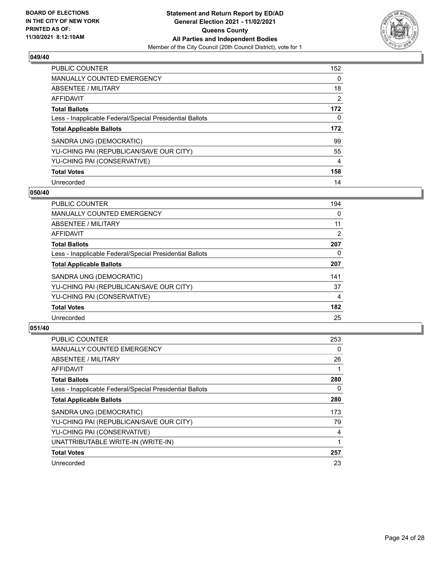

| <b>PUBLIC COUNTER</b>                                    | 152      |
|----------------------------------------------------------|----------|
| <b>MANUALLY COUNTED EMERGENCY</b>                        | $\Omega$ |
| ABSENTEE / MILITARY                                      | 18       |
| <b>AFFIDAVIT</b>                                         | 2        |
| <b>Total Ballots</b>                                     | 172      |
| Less - Inapplicable Federal/Special Presidential Ballots | 0        |
| <b>Total Applicable Ballots</b>                          | 172      |
| SANDRA UNG (DEMOCRATIC)                                  | 99       |
| YU-CHING PAI (REPUBLICAN/SAVE OUR CITY)                  | 55       |
| YU-CHING PAI (CONSERVATIVE)                              | 4        |
| <b>Total Votes</b>                                       | 158      |
| Unrecorded                                               | 14       |

#### **050/40**

| <b>PUBLIC COUNTER</b>                                    | 194            |
|----------------------------------------------------------|----------------|
| <b>MANUALLY COUNTED EMERGENCY</b>                        | 0              |
| ABSENTEE / MILITARY                                      | 11             |
| <b>AFFIDAVIT</b>                                         | $\overline{2}$ |
| <b>Total Ballots</b>                                     | 207            |
| Less - Inapplicable Federal/Special Presidential Ballots | 0              |
| <b>Total Applicable Ballots</b>                          | 207            |
| SANDRA UNG (DEMOCRATIC)                                  | 141            |
| YU-CHING PAI (REPUBLICAN/SAVE OUR CITY)                  | 37             |
| YU-CHING PAI (CONSERVATIVE)                              | 4              |
| <b>Total Votes</b>                                       | 182            |
| Unrecorded                                               | 25             |

| <b>PUBLIC COUNTER</b>                                    | 253 |
|----------------------------------------------------------|-----|
| MANUALLY COUNTED EMERGENCY                               | 0   |
| ABSENTEE / MILITARY                                      | 26  |
| AFFIDAVIT                                                |     |
| <b>Total Ballots</b>                                     | 280 |
| Less - Inapplicable Federal/Special Presidential Ballots | 0   |
| <b>Total Applicable Ballots</b>                          | 280 |
| SANDRA UNG (DEMOCRATIC)                                  | 173 |
| YU-CHING PAI (REPUBLICAN/SAVE OUR CITY)                  | 79  |
| YU-CHING PAI (CONSERVATIVE)                              | 4   |
| UNATTRIBUTABLE WRITE-IN (WRITE-IN)                       |     |
| <b>Total Votes</b>                                       | 257 |
| Unrecorded                                               | 23  |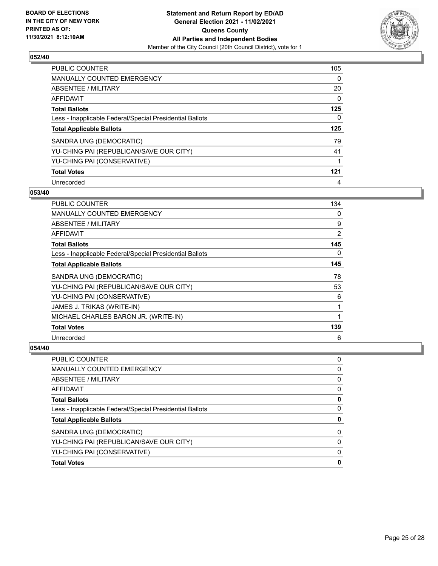

| <b>PUBLIC COUNTER</b>                                    | 105      |
|----------------------------------------------------------|----------|
| MANUALLY COUNTED EMERGENCY                               | $\Omega$ |
| ABSENTEE / MILITARY                                      | 20       |
| AFFIDAVIT                                                | $\Omega$ |
| <b>Total Ballots</b>                                     | 125      |
| Less - Inapplicable Federal/Special Presidential Ballots | 0        |
| <b>Total Applicable Ballots</b>                          | 125      |
| SANDRA UNG (DEMOCRATIC)                                  | 79       |
| YU-CHING PAI (REPUBLICAN/SAVE OUR CITY)                  | 41       |
| YU-CHING PAI (CONSERVATIVE)                              | 1        |
| <b>Total Votes</b>                                       | 121      |
| Unrecorded                                               | 4        |

#### **053/40**

| PUBLIC COUNTER                                           | 134 |
|----------------------------------------------------------|-----|
| <b>MANUALLY COUNTED EMERGENCY</b>                        | 0   |
| ABSENTEE / MILITARY                                      | 9   |
| AFFIDAVIT                                                | 2   |
| <b>Total Ballots</b>                                     | 145 |
| Less - Inapplicable Federal/Special Presidential Ballots | 0   |
| <b>Total Applicable Ballots</b>                          | 145 |
| SANDRA UNG (DEMOCRATIC)                                  | 78  |
| YU-CHING PAI (REPUBLICAN/SAVE OUR CITY)                  | 53  |
| YU-CHING PAI (CONSERVATIVE)                              | 6   |
| JAMES J. TRIKAS (WRITE-IN)                               | 1   |
| MICHAEL CHARLES BARON JR. (WRITE-IN)                     | 1   |
| <b>Total Votes</b>                                       | 139 |
| Unrecorded                                               | 6   |

| PUBLIC COUNTER                                           | 0 |
|----------------------------------------------------------|---|
| <b>MANUALLY COUNTED EMERGENCY</b>                        | 0 |
| <b>ABSENTEE / MILITARY</b>                               | 0 |
| AFFIDAVIT                                                | 0 |
| <b>Total Ballots</b>                                     | 0 |
| Less - Inapplicable Federal/Special Presidential Ballots | 0 |
| <b>Total Applicable Ballots</b>                          | 0 |
| SANDRA UNG (DEMOCRATIC)                                  | 0 |
| YU-CHING PAI (REPUBLICAN/SAVE OUR CITY)                  | 0 |
| YU-CHING PAI (CONSERVATIVE)                              | 0 |
| <b>Total Votes</b>                                       | 0 |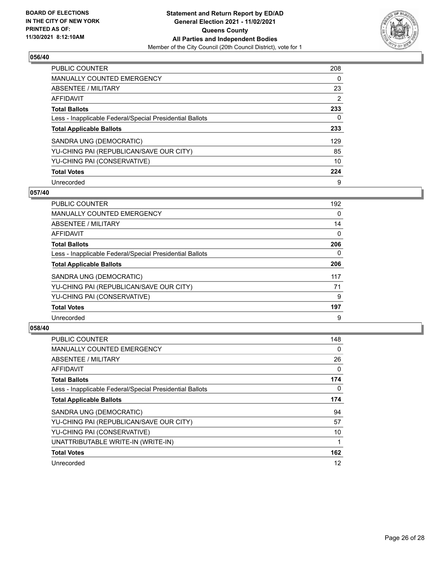

| <b>PUBLIC COUNTER</b>                                    | 208 |
|----------------------------------------------------------|-----|
| MANUALLY COUNTED EMERGENCY                               | 0   |
| ABSENTEE / MILITARY                                      | 23  |
| <b>AFFIDAVIT</b>                                         | 2   |
| <b>Total Ballots</b>                                     | 233 |
| Less - Inapplicable Federal/Special Presidential Ballots | 0   |
| <b>Total Applicable Ballots</b>                          | 233 |
| SANDRA UNG (DEMOCRATIC)                                  | 129 |
| YU-CHING PAI (REPUBLICAN/SAVE OUR CITY)                  | 85  |
| YU-CHING PAI (CONSERVATIVE)                              | 10  |
| <b>Total Votes</b>                                       | 224 |
| Unrecorded                                               | 9   |

#### **057/40**

| <b>PUBLIC COUNTER</b>                                    | 192      |
|----------------------------------------------------------|----------|
| <b>MANUALLY COUNTED EMERGENCY</b>                        | $\Omega$ |
| ABSENTEE / MILITARY                                      | 14       |
| <b>AFFIDAVIT</b>                                         | $\Omega$ |
| <b>Total Ballots</b>                                     | 206      |
| Less - Inapplicable Federal/Special Presidential Ballots | $\Omega$ |
| <b>Total Applicable Ballots</b>                          | 206      |
| SANDRA UNG (DEMOCRATIC)                                  | 117      |
| YU-CHING PAI (REPUBLICAN/SAVE OUR CITY)                  | 71       |
| YU-CHING PAI (CONSERVATIVE)                              | 9        |
| <b>Total Votes</b>                                       | 197      |
| Unrecorded                                               | 9        |

| <b>PUBLIC COUNTER</b>                                    | 148 |
|----------------------------------------------------------|-----|
| MANUALLY COUNTED EMERGENCY                               | 0   |
| ABSENTEE / MILITARY                                      | 26  |
| AFFIDAVIT                                                | 0   |
| <b>Total Ballots</b>                                     | 174 |
| Less - Inapplicable Federal/Special Presidential Ballots | 0   |
| <b>Total Applicable Ballots</b>                          | 174 |
| SANDRA UNG (DEMOCRATIC)                                  | 94  |
| YU-CHING PAI (REPUBLICAN/SAVE OUR CITY)                  | 57  |
| YU-CHING PAI (CONSERVATIVE)                              | 10  |
| UNATTRIBUTABLE WRITE-IN (WRITE-IN)                       |     |
| <b>Total Votes</b>                                       | 162 |
| Unrecorded                                               | 12  |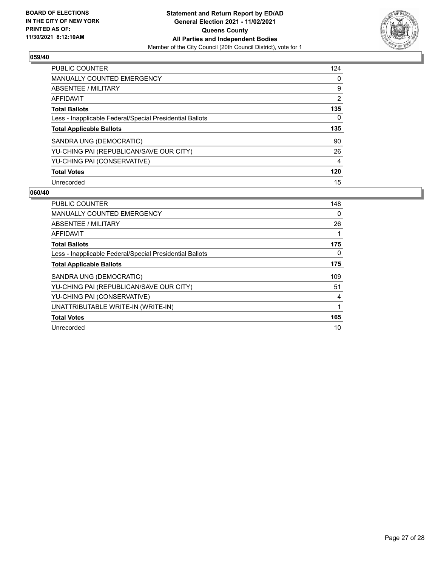

| <b>PUBLIC COUNTER</b>                                    | 124 |
|----------------------------------------------------------|-----|
| MANUALLY COUNTED EMERGENCY                               | 0   |
| ABSENTEE / MILITARY                                      | 9   |
| <b>AFFIDAVIT</b>                                         | 2   |
| <b>Total Ballots</b>                                     | 135 |
| Less - Inapplicable Federal/Special Presidential Ballots | 0   |
| <b>Total Applicable Ballots</b>                          | 135 |
| SANDRA UNG (DEMOCRATIC)                                  | 90  |
| YU-CHING PAI (REPUBLICAN/SAVE OUR CITY)                  | 26  |
| YU-CHING PAI (CONSERVATIVE)                              | 4   |
| <b>Total Votes</b>                                       | 120 |
|                                                          | 15  |

| <b>PUBLIC COUNTER</b>                                    | 148 |
|----------------------------------------------------------|-----|
| <b>MANUALLY COUNTED EMERGENCY</b>                        | 0   |
| ABSENTEE / MILITARY                                      | 26  |
| AFFIDAVIT                                                | 1   |
| <b>Total Ballots</b>                                     | 175 |
| Less - Inapplicable Federal/Special Presidential Ballots | 0   |
| <b>Total Applicable Ballots</b>                          | 175 |
| SANDRA UNG (DEMOCRATIC)                                  | 109 |
| YU-CHING PAI (REPUBLICAN/SAVE OUR CITY)                  | 51  |
| YU-CHING PAI (CONSERVATIVE)                              | 4   |
| UNATTRIBUTABLE WRITE-IN (WRITE-IN)                       | 1   |
| <b>Total Votes</b>                                       | 165 |
| Unrecorded                                               | 10  |